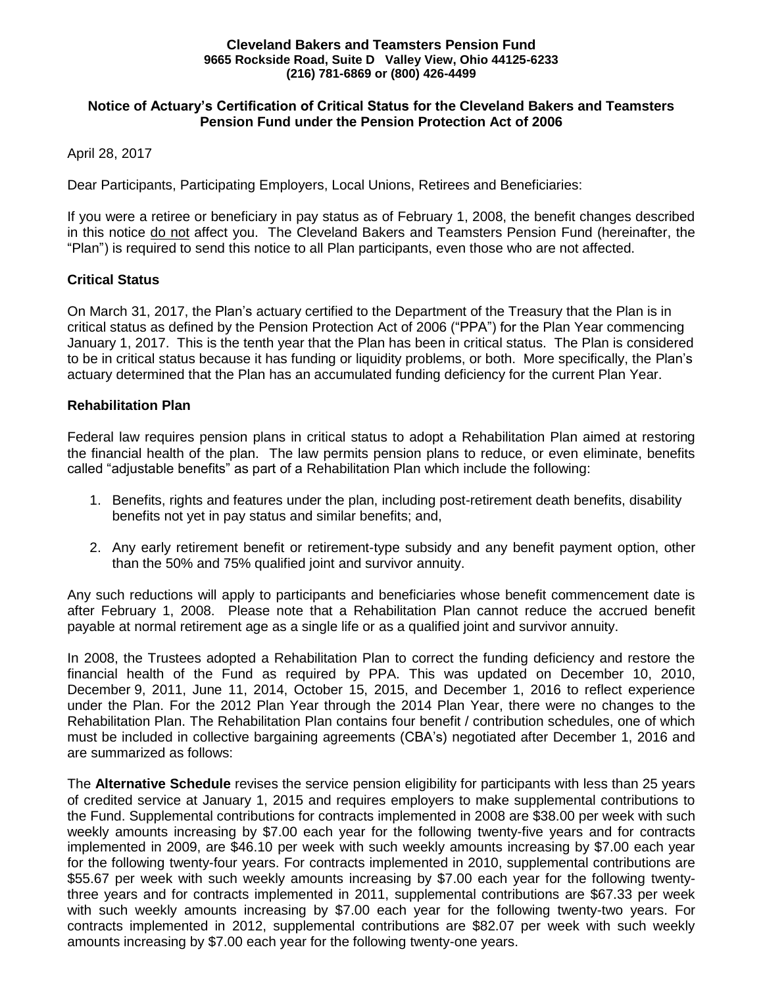#### **Cleveland Bakers and Teamsters Pension Fund 9665 Rockside Road, Suite D Valley View, Ohio 44125-6233 (216) 781-6869 or (800) 426-4499**

# **Notice of Actuary's Certification of Critical Status for the Cleveland Bakers and Teamsters Pension Fund under the Pension Protection Act of 2006**

April 28, 2017

Dear Participants, Participating Employers, Local Unions, Retirees and Beneficiaries:

If you were a retiree or beneficiary in pay status as of February 1, 2008, the benefit changes described in this notice do not affect you. The Cleveland Bakers and Teamsters Pension Fund (hereinafter, the "Plan") is required to send this notice to all Plan participants, even those who are not affected.

# **Critical Status**

On March 31, 2017, the Plan's actuary certified to the Department of the Treasury that the Plan is in critical status as defined by the Pension Protection Act of 2006 ("PPA") for the Plan Year commencing January 1, 2017. This is the tenth year that the Plan has been in critical status. The Plan is considered to be in critical status because it has funding or liquidity problems, or both. More specifically, the Plan's actuary determined that the Plan has an accumulated funding deficiency for the current Plan Year.

# **Rehabilitation Plan**

Federal law requires pension plans in critical status to adopt a Rehabilitation Plan aimed at restoring the financial health of the plan. The law permits pension plans to reduce, or even eliminate, benefits called "adjustable benefits" as part of a Rehabilitation Plan which include the following:

- 1. Benefits, rights and features under the plan, including post-retirement death benefits, disability benefits not yet in pay status and similar benefits; and,
- 2. Any early retirement benefit or retirement-type subsidy and any benefit payment option, other than the 50% and 75% qualified joint and survivor annuity.

Any such reductions will apply to participants and beneficiaries whose benefit commencement date is after February 1, 2008. Please note that a Rehabilitation Plan cannot reduce the accrued benefit payable at normal retirement age as a single life or as a qualified joint and survivor annuity.

In 2008, the Trustees adopted a Rehabilitation Plan to correct the funding deficiency and restore the financial health of the Fund as required by PPA. This was updated on December 10, 2010, December 9, 2011, June 11, 2014, October 15, 2015, and December 1, 2016 to reflect experience under the Plan. For the 2012 Plan Year through the 2014 Plan Year, there were no changes to the Rehabilitation Plan. The Rehabilitation Plan contains four benefit / contribution schedules, one of which must be included in collective bargaining agreements (CBA's) negotiated after December 1, 2016 and are summarized as follows:

The **Alternative Schedule** revises the service pension eligibility for participants with less than 25 years of credited service at January 1, 2015 and requires employers to make supplemental contributions to the Fund. Supplemental contributions for contracts implemented in 2008 are \$38.00 per week with such weekly amounts increasing by \$7.00 each year for the following twenty-five years and for contracts implemented in 2009, are \$46.10 per week with such weekly amounts increasing by \$7.00 each year for the following twenty-four years. For contracts implemented in 2010, supplemental contributions are \$55.67 per week with such weekly amounts increasing by \$7.00 each year for the following twentythree years and for contracts implemented in 2011, supplemental contributions are \$67.33 per week with such weekly amounts increasing by \$7.00 each year for the following twenty-two years. For contracts implemented in 2012, supplemental contributions are \$82.07 per week with such weekly amounts increasing by \$7.00 each year for the following twenty-one years.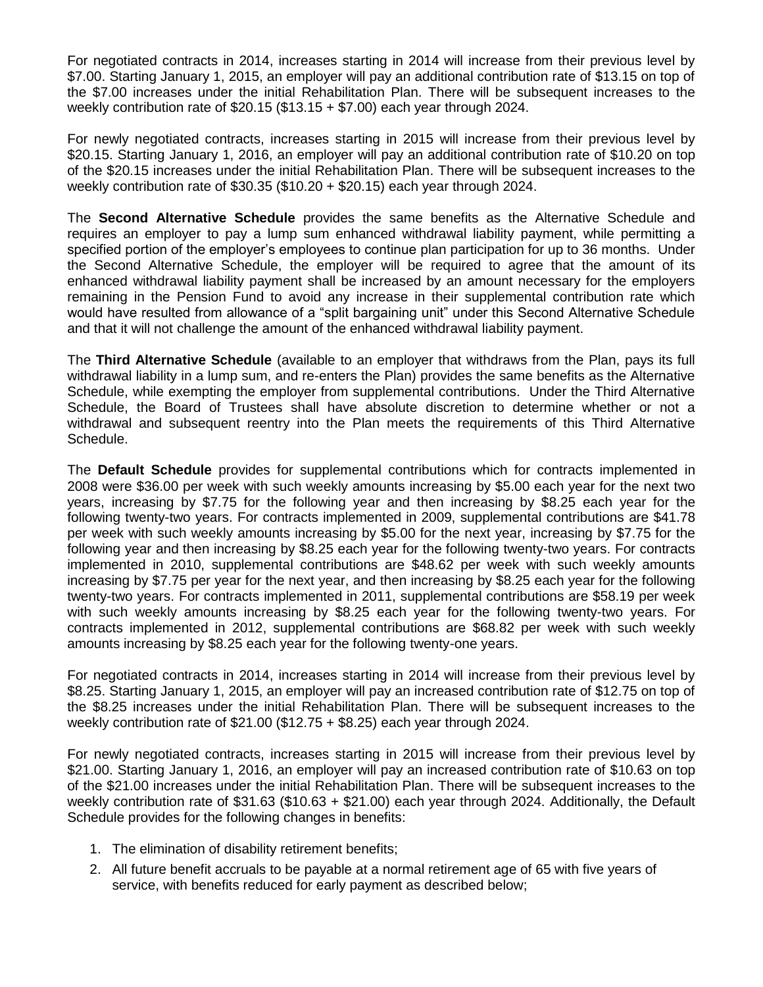For negotiated contracts in 2014, increases starting in 2014 will increase from their previous level by \$7.00. Starting January 1, 2015, an employer will pay an additional contribution rate of \$13.15 on top of the \$7.00 increases under the initial Rehabilitation Plan. There will be subsequent increases to the weekly contribution rate of \$20.15 (\$13.15 + \$7.00) each year through 2024.

For newly negotiated contracts, increases starting in 2015 will increase from their previous level by \$20.15. Starting January 1, 2016, an employer will pay an additional contribution rate of \$10.20 on top of the \$20.15 increases under the initial Rehabilitation Plan. There will be subsequent increases to the weekly contribution rate of \$30.35 (\$10.20 + \$20.15) each year through 2024.

The **Second Alternative Schedule** provides the same benefits as the Alternative Schedule and requires an employer to pay a lump sum enhanced withdrawal liability payment, while permitting a specified portion of the employer's employees to continue plan participation for up to 36 months. Under the Second Alternative Schedule, the employer will be required to agree that the amount of its enhanced withdrawal liability payment shall be increased by an amount necessary for the employers remaining in the Pension Fund to avoid any increase in their supplemental contribution rate which would have resulted from allowance of a "split bargaining unit" under this Second Alternative Schedule and that it will not challenge the amount of the enhanced withdrawal liability payment.

The **Third Alternative Schedule** (available to an employer that withdraws from the Plan, pays its full withdrawal liability in a lump sum, and re-enters the Plan) provides the same benefits as the Alternative Schedule, while exempting the employer from supplemental contributions. Under the Third Alternative Schedule, the Board of Trustees shall have absolute discretion to determine whether or not a withdrawal and subsequent reentry into the Plan meets the requirements of this Third Alternative Schedule.

The **Default Schedule** provides for supplemental contributions which for contracts implemented in 2008 were \$36.00 per week with such weekly amounts increasing by \$5.00 each year for the next two years, increasing by \$7.75 for the following year and then increasing by \$8.25 each year for the following twenty-two years. For contracts implemented in 2009, supplemental contributions are \$41.78 per week with such weekly amounts increasing by \$5.00 for the next year, increasing by \$7.75 for the following year and then increasing by \$8.25 each year for the following twenty-two years. For contracts implemented in 2010, supplemental contributions are \$48.62 per week with such weekly amounts increasing by \$7.75 per year for the next year, and then increasing by \$8.25 each year for the following twenty-two years. For contracts implemented in 2011, supplemental contributions are \$58.19 per week with such weekly amounts increasing by \$8.25 each year for the following twenty-two years. For contracts implemented in 2012, supplemental contributions are \$68.82 per week with such weekly amounts increasing by \$8.25 each year for the following twenty-one years.

For negotiated contracts in 2014, increases starting in 2014 will increase from their previous level by \$8.25. Starting January 1, 2015, an employer will pay an increased contribution rate of \$12.75 on top of the \$8.25 increases under the initial Rehabilitation Plan. There will be subsequent increases to the weekly contribution rate of \$21.00 (\$12.75 + \$8.25) each year through 2024.

For newly negotiated contracts, increases starting in 2015 will increase from their previous level by \$21.00. Starting January 1, 2016, an employer will pay an increased contribution rate of \$10.63 on top of the \$21.00 increases under the initial Rehabilitation Plan. There will be subsequent increases to the weekly contribution rate of \$31.63 (\$10.63 + \$21.00) each year through 2024. Additionally, the Default Schedule provides for the following changes in benefits:

- 1. The elimination of disability retirement benefits;
- 2. All future benefit accruals to be payable at a normal retirement age of 65 with five years of service, with benefits reduced for early payment as described below;